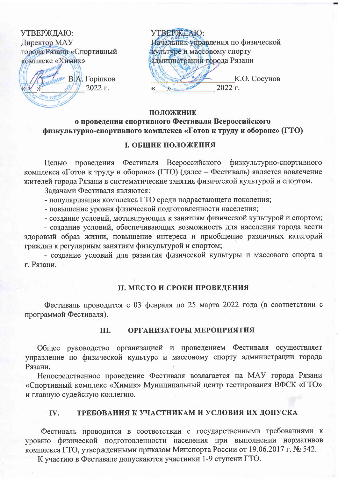| УТВЕРЖДАЮ:                | УТВЕРЖДАЮ:      |
|---------------------------|-----------------|
| Директор МАУ              | ачальник управ. |
| города Рязани «Спортивный | ультуре и массо |
| комплекс «Химик»          | тминистрации го |
| <b>NO B.A. Горшков</b>    |                 |
| 2022 г.<br>$O$ FPH 102620 |                 |

ления по физической вому спорту орода Рязани К.О. Сосунов

 $2022 \text{ r.}$ 

### ПОЛОЖЕНИЕ

# о проведении спортивного Фестиваля Всероссийского физкультурно-спортивного комплекса «Готов к труду и обороне» (ГТО)

# **І. ОБЩИЕ ПОЛОЖЕНИЯ**

Целью проведения Фестиваля Всероссийского физкультурно-спортивного комплекса «Готов к труду и обороне» (ГТО) (далее - Фестиваль) является вовлечение жителей города Рязани в систематические занятия физической культурой и спортом.

Залачами Фестиваля являются:

- популяризация комплекса ГТО среди подрастающего поколения;

- повышение уровня физической подготовленности населения;

- создание условий, мотивирующих к занятиям физической культурой и спортом; - создание условий, обеспечивающих возможность для населения города вести здоровый образ жизни, повышение интереса и приобщение различных категорий граждан к регулярным занятиям физкультурой и спортом;

- создание условий для развития физической культуры и массового спорта в г. Рязани.

## **II. МЕСТО И СРОКИ ПРОВЕДЕНИЯ**

Фестиваль проводится с 03 февраля по 25 марта 2022 года (в соответствии с программой Фестиваля).

#### ОРГАНИЗАТОРЫ МЕРОПРИЯТИЯ TH.

Общее руководство организацией и проведением Фестиваля осуществляет управление по физической культуре и массовому спорту администрации города Рязани.

Непосредственное проведение Фестиваля возлагается на МАУ города Рязани «Спортивный комплекс «Химик» Муниципальный центр тестирования ВФСК «ГТО» и главную судейскую коллегию.

#### ТРЕБОВАНИЯ К УЧАСТНИКАМ И УСЛОВИЯ ИХ ДОПУСКА IV.

Фестиваль проводится в соответствии с государственными требованиями к уровню физической подготовленности населения при выполнении нормативов комплекса ГТО, утвержденными приказом Минспорта России от 19.06.2017 г. № 542.

К участию в Фестивале допускаются участники 1-9 ступени ГТО.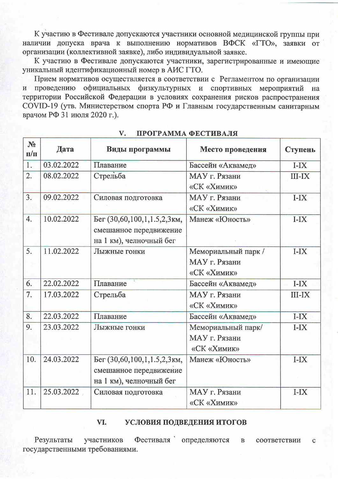К участию в Фестивале допускаются участники основной медицинской группы при наличии допуска врача к выполнению нормативов ВФСК «ГТО», заявки от организации (коллективной заявке), либо индивидуальной заявке.

К участию в Фестивале допускаются участники, зарегистрированные и имеющие уникальный идентификационный номер в АИС ГТО.

Прием нормативов осуществляется в соответствии с Регламентом по организации проведению официальных физкультурных и спортивных  $\overline{M}$ мероприятий на территории Российской Федерации в условиях сохранения рисков распространения COVID-19 (утв. Министерством спорта РФ и Главным государственным санитарным врачом РФ 31 июля 2020 г.).

| N <sub>2</sub><br>$\Pi/\Pi$ | Дата       | Виды программы              | Место проведения    | Ступень       |
|-----------------------------|------------|-----------------------------|---------------------|---------------|
| 1.                          | 03.02.2022 | Плавание                    | Бассейн «Аквамед»   | $I-IX$        |
| $\overline{2}$ .            | 08.02.2022 | Стрельба                    | МАУ г. Рязани       | <b>III-IX</b> |
|                             |            |                             | «СК «Химик»         |               |
| $\overline{3}$ .            | 09.02.2022 | Силовая подготовка          | МАУ г. Рязани       | $I-IX$        |
|                             |            |                             | «СК «Химик»         |               |
| 4.                          | 10.02.2022 | Бег (30,60,100,1,1.5,2,3км, | Манеж «Юность»      | $I-IX$        |
|                             |            | смешанное передвижение      |                     |               |
|                             |            | на 1 км), челночный бег     |                     |               |
| 5.                          | 11.02.2022 | Лыжные гонки                | Мемориальный парк / | $I-IX$        |
|                             |            |                             | МАУ г. Рязани       |               |
|                             |            |                             | «СК «Химик»         |               |
| 6.                          | 22.02.2022 | Плавание                    | Бассейн «Аквамед»   | $I-X$         |
| 7.                          | 17.03.2022 | Стрельба                    | МАУ г. Рязани       | <b>III-IX</b> |
|                             |            |                             | «СК «Химик»         |               |
| 8.                          | 22.03.2022 | Плавание                    | Бассейн «Аквамед»   | $I-IX$        |
| 9.                          | 23.03.2022 | Лыжные гонки                | Мемориальный парк/  | $I-IX$        |
|                             |            |                             | МАУ г. Рязани       |               |
|                             |            |                             | «СК «Химик»         |               |
| 10.                         | 24.03.2022 | Бег (30,60,100,1,1.5,2,3км, | Манеж «Юность»      | $I-IX$        |
|                             |            | смешанное передвижение      |                     |               |
|                             |            | на 1 км), челночный бег     |                     |               |
| 11.                         | 25.03.2022 | Силовая подготовка          | МАУ г. Рязани       | $I-IX$        |
|                             |            |                             | «СК «Химик»         |               |

#### V. ПРОГРАММА ФЕСТИВАЛЯ

#### VI. УСЛОВИЯ ПОДВЕДЕНИЯ ИТОГОВ

Результаты участников Фестиваля определяются  $\mathbf{B}$ соответствии  $\mathbf{C}$ государственными требованиями.